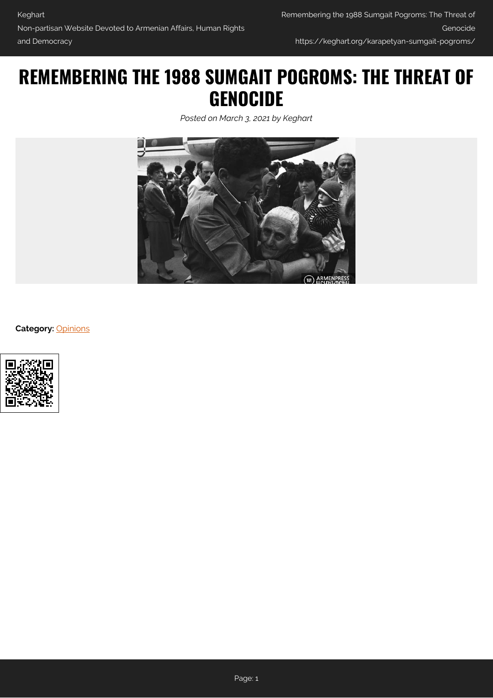## **REMEMBERING THE 1988 SUMGAIT POGROMS: THE THREAT OF GENOCIDE**

*Posted on March 3, 2021 by Keghart*



**Category:** [Opinions](https://keghart.org/category/opinions/)

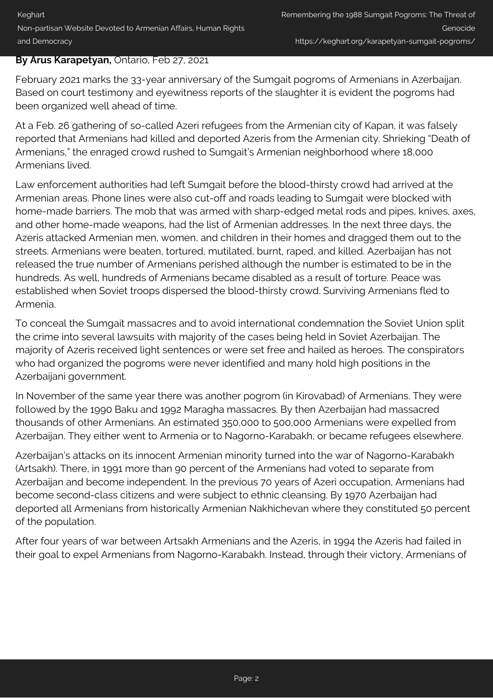## **By Arus Karapetyan,** Ontario, Feb 27, 2021

February 2021 marks the 33-year anniversary of the Sumgait pogroms of Armenians in Azerbaijan. Based on court testimony and eyewitness reports of the slaughter it is evident the pogroms had been organized well ahead of time.

At a Feb. 26 gathering of so-called Azeri refugees from the Armenian city of Kapan, it was falsely reported that Armenians had killed and deported Azeris from the Armenian city. Shrieking "Death of Armenians," the enraged crowd rushed to Sumgait's Armenian neighborhood where 18,000 Armenians lived.

Law enforcement authorities had left Sumgait before the blood-thirsty crowd had arrived at the Armenian areas. Phone lines were also cut-off and roads leading to Sumgait were blocked with home-made barriers. The mob that was armed with sharp-edged metal rods and pipes, knives, axes, and other home-made weapons, had the list of Armenian addresses. In the next three days, the Azeris attacked Armenian men, women, and children in their homes and dragged them out to the streets. Armenians were beaten, tortured, mutilated, burnt, raped, and killed. Azerbaijan has not released the true number of Armenians perished although the number is estimated to be in the hundreds. As well, hundreds of Armenians became disabled as a result of torture. Peace was established when Soviet troops dispersed the blood-thirsty crowd. Surviving Armenians fled to Armenia.

To conceal the Sumgait massacres and to avoid international condemnation the Soviet Union split the crime into several lawsuits with majority of the cases being held in Soviet Azerbaijan. The majority of Azeris received light sentences or were set free and hailed as heroes. The conspirators who had organized the pogroms were never identified and many hold high positions in the Azerbaijani government.

In November of the same year there was another pogrom (in Kirovabad) of Armenians. They were followed by the 1990 Baku and 1992 Maragha massacres. By then Azerbaijan had massacred thousands of other Armenians. An estimated 350,000 to 500,000 Armenians were expelled from Azerbaijan. They either went to Armenia or to Nagorno-Karabakh, or became refugees elsewhere.

Azerbaijan's attacks on its innocent Armenian minority turned into the war of Nagorno-Karabakh (Artsakh). There, in 1991 more than 90 percent of the Armenians had voted to separate from Azerbaijan and become independent. In the previous 70 years of Azeri occupation, Armenians had become second-class citizens and were subject to ethnic cleansing. By 1970 Azerbaijan had deported all Armenians from historically Armenian Nakhichevan where they constituted 50 percent of the population.

After four years of war between Artsakh Armenians and the Azeris, in 1994 the Azeris had failed in their goal to expel Armenians from Nagorno-Karabakh. Instead, through their victory, Armenians of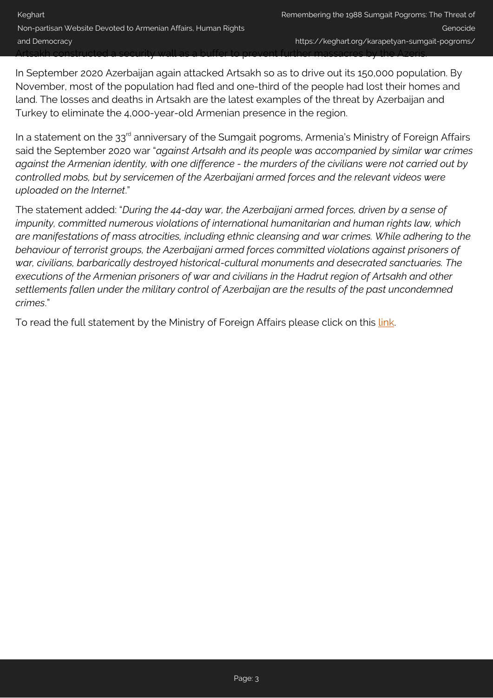In September 2020 Azerbaijan again attacked Artsakh so as to drive out its 150,000 population. By November, most of the population had fled and one-third of the people had lost their homes and land. The losses and deaths in Artsakh are the latest examples of the threat by Azerbaijan and Turkey to eliminate the 4,000-year-old Armenian presence in the region.

In a statement on the 33<sup>rd</sup> anniversary of the Sumgait pogroms, Armenia's Ministry of Foreign Affairs said the September 2020 war "*against Artsakh and its people was accompanied by similar war crimes against the Armenian identity, with one difference - the murders of the civilians were not carried out by controlled mobs, but by servicemen of the Azerbaijani armed forces and the relevant videos were uploaded on the Internet*."

The statement added: "*During the 44-day war, the Azerbaijani armed forces, driven by a sense of impunity, committed numerous violations of international humanitarian and human rights law, which are manifestations of mass atrocities, including ethnic cleansing and war crimes. While adhering to the behaviour of terrorist groups, the Azerbaijani armed forces committed violations against prisoners of war, civilians, barbarically destroyed historical-cultural monuments and desecrated sanctuaries. The executions of the Armenian prisoners of war and civilians in the Hadrut region of Artsakh and other settlements fallen under the military control of Azerbaijan are the results of the past uncondemned crimes*."

To read the full statement by the Ministry of Foreign Affairs please click on this [link](https://www.mfa.am/en/interviews-articles-and-comments/2021/02/27/sumg/10816).